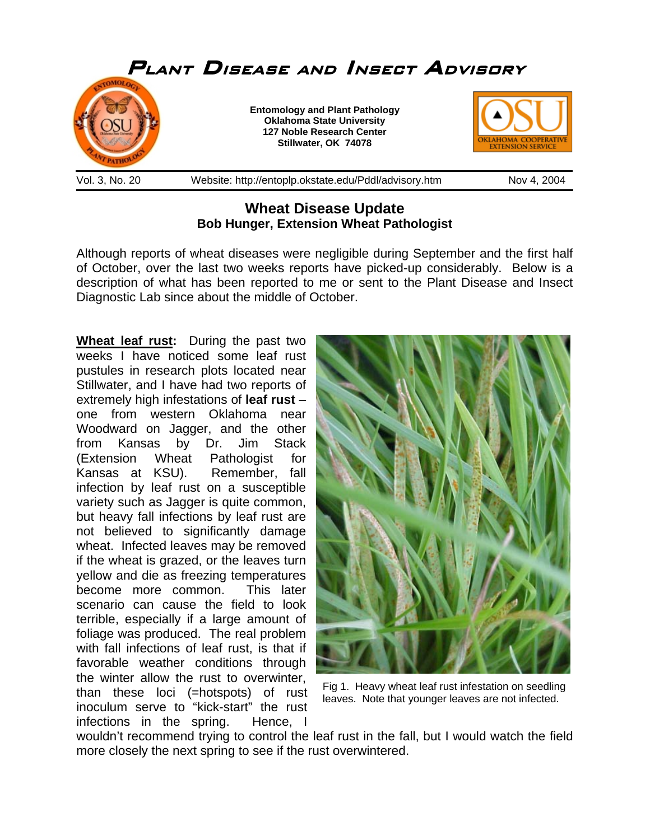

## **Wheat Disease Update Bob Hunger, Extension Wheat Pathologist**

Although reports of wheat diseases were negligible during September and the first half of October, over the last two weeks reports have picked-up considerably. Below is a description of what has been reported to me or sent to the Plant Disease and Insect Diagnostic Lab since about the middle of October.

**Wheat leaf rust:** During the past two weeks I have noticed some leaf rust pustules in research plots located near Stillwater, and I have had two reports of extremely high infestations of **leaf rust** – one from western Oklahoma near Woodward on Jagger, and the other from Kansas by Dr. Jim Stack (Extension Wheat Pathologist for Kansas at KSU). Remember, fall infection by leaf rust on a susceptible variety such as Jagger is quite common, but heavy fall infections by leaf rust are not believed to significantly damage wheat. Infected leaves may be removed if the wheat is grazed, or the leaves turn yellow and die as freezing temperatures become more common. This later scenario can cause the field to look terrible, especially if a large amount of foliage was produced. The real problem with fall infections of leaf rust, is that if favorable weather conditions through the winter allow the rust to overwinter, than these loci (=hotspots) of rust inoculum serve to "kick-start" the rust infections in the spring. Hence, I



Fig 1. Heavy wheat leaf rust infestation on seedling leaves. Note that younger leaves are not infected.

wouldn't recommend trying to control the leaf rust in the fall, but I would watch the field more closely the next spring to see if the rust overwintered.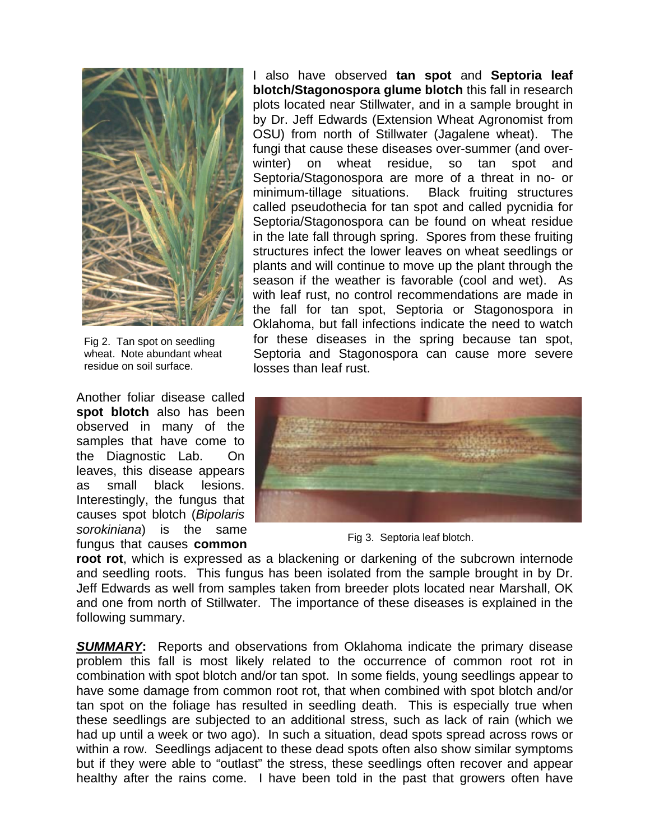

Fig 2. Tan spot on seedling wheat. Note abundant wheat residue on soil surface.

Another foliar disease called **spot blotch** also has been observed in many of the samples that have come to the Diagnostic Lab. On leaves, this disease appears as small black lesions. Interestingly, the fungus that causes spot blotch (*Bipolaris sorokiniana*) is the same fungus that causes **common** 

I also have observed **tan spot** and **Septoria leaf blotch/Stagonospora glume blotch** this fall in research plots located near Stillwater, and in a sample brought in by Dr. Jeff Edwards (Extension Wheat Agronomist from OSU) from north of Stillwater (Jagalene wheat). The fungi that cause these diseases over-summer (and overwinter) on wheat residue, so tan spot and Septoria/Stagonospora are more of a threat in no- or minimum-tillage situations. Black fruiting structures called pseudothecia for tan spot and called pycnidia for Septoria/Stagonospora can be found on wheat residue in the late fall through spring. Spores from these fruiting structures infect the lower leaves on wheat seedlings or plants and will continue to move up the plant through the season if the weather is favorable (cool and wet). As with leaf rust, no control recommendations are made in the fall for tan spot, Septoria or Stagonospora in Oklahoma, but fall infections indicate the need to watch for these diseases in the spring because tan spot, Septoria and Stagonospora can cause more severe losses than leaf rust.



Fig 3. Septoria leaf blotch.

**root rot**, which is expressed as a blackening or darkening of the subcrown internode and seedling roots. This fungus has been isolated from the sample brought in by Dr. Jeff Edwards as well from samples taken from breeder plots located near Marshall, OK and one from north of Stillwater. The importance of these diseases is explained in the following summary.

*SUMMARY***:** Reports and observations from Oklahoma indicate the primary disease problem this fall is most likely related to the occurrence of common root rot in combination with spot blotch and/or tan spot. In some fields, young seedlings appear to have some damage from common root rot, that when combined with spot blotch and/or tan spot on the foliage has resulted in seedling death. This is especially true when these seedlings are subjected to an additional stress, such as lack of rain (which we had up until a week or two ago). In such a situation, dead spots spread across rows or within a row. Seedlings adjacent to these dead spots often also show similar symptoms but if they were able to "outlast" the stress, these seedlings often recover and appear healthy after the rains come. I have been told in the past that growers often have